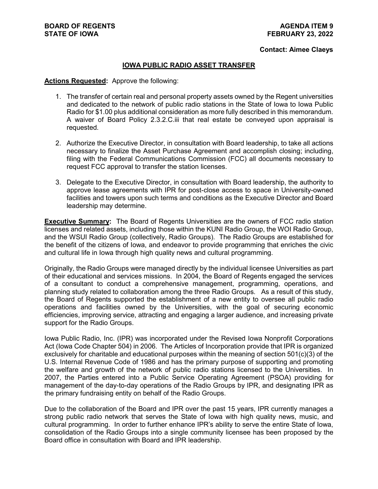#### **Contact: Aimee Claeys**

#### **IOWA PUBLIC RADIO ASSET TRANSFER**

#### **Actions Requested:** Approve the following:

- 1. The transfer of certain real and personal property assets owned by the Regent universities and dedicated to the network of public radio stations in the State of Iowa to Iowa Public Radio for \$1.00 plus additional consideration as more fully described in this memorandum. A waiver of Board Policy 2.3.2.C.iii that real estate be conveyed upon appraisal is requested.
- 2. Authorize the Executive Director, in consultation with Board leadership, to take all actions necessary to finalize the Asset Purchase Agreement and accomplish closing; including, filing with the Federal Communications Commission (FCC) all documents necessary to request FCC approval to transfer the station licenses.
- 3. Delegate to the Executive Director, in consultation with Board leadership, the authority to approve lease agreements with IPR for post-close access to space in University-owned facilities and towers upon such terms and conditions as the Executive Director and Board leadership may determine.

**Executive Summary:** The Board of Regents Universities are the owners of FCC radio station licenses and related assets, including those within the KUNI Radio Group, the WOI Radio Group, and the WSUI Radio Group (collectively, Radio Groups). The Radio Groups are established for the benefit of the citizens of Iowa, and endeavor to provide programming that enriches the civic and cultural life in Iowa through high quality news and cultural programming.

Originally, the Radio Groups were managed directly by the individual licensee Universities as part of their educational and services missions. In 2004, the Board of Regents engaged the services of a consultant to conduct a comprehensive management, programming, operations, and planning study related to collaboration among the three Radio Groups. As a result of this study, the Board of Regents supported the establishment of a new entity to oversee all public radio operations and facilities owned by the Universities, with the goal of securing economic efficiencies, improving service, attracting and engaging a larger audience, and increasing private support for the Radio Groups.

Iowa Public Radio, Inc. (IPR) was incorporated under the Revised Iowa Nonprofit Corporations Act (Iowa Code Chapter 504) in 2006. The Articles of Incorporation provide that IPR is organized exclusively for charitable and educational purposes within the meaning of section  $501(c)(3)$  of the U.S. Internal Revenue Code of 1986 and has the primary purpose of supporting and promoting the welfare and growth of the network of public radio stations licensed to the Universities. In 2007, the Parties entered into a Public Service Operating Agreement (PSOA) providing for management of the day-to-day operations of the Radio Groups by IPR, and designating IPR as the primary fundraising entity on behalf of the Radio Groups.

Due to the collaboration of the Board and IPR over the past 15 years, IPR currently manages a strong public radio network that serves the State of Iowa with high quality news, music, and cultural programming. In order to further enhance IPR's ability to serve the entire State of Iowa, consolidation of the Radio Groups into a single community licensee has been proposed by the Board office in consultation with Board and IPR leadership.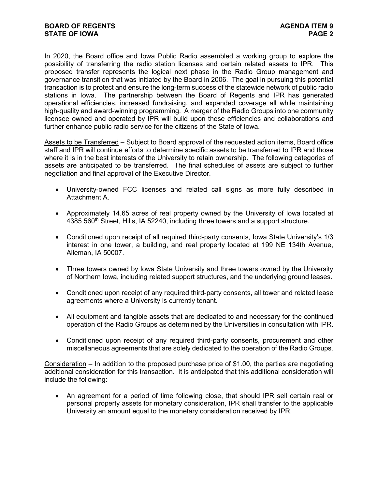In 2020, the Board office and Iowa Public Radio assembled a working group to explore the possibility of transferring the radio station licenses and certain related assets to IPR. This proposed transfer represents the logical next phase in the Radio Group management and governance transition that was initiated by the Board in 2006. The goal in pursuing this potential transaction is to protect and ensure the long-term success of the statewide network of public radio stations in Iowa. The partnership between the Board of Regents and IPR has generated operational efficiencies, increased fundraising, and expanded coverage all while maintaining high-quality and award-winning programming. A merger of the Radio Groups into one community licensee owned and operated by IPR will build upon these efficiencies and collaborations and further enhance public radio service for the citizens of the State of Iowa.

Assets to be Transferred – Subject to Board approval of the requested action items, Board office staff and IPR will continue efforts to determine specific assets to be transferred to IPR and those where it is in the best interests of the University to retain ownership. The following categories of assets are anticipated to be transferred. The final schedules of assets are subject to further negotiation and final approval of the Executive Director.

- University-owned FCC licenses and related call signs as more fully described in Attachment A.
- Approximately 14.65 acres of real property owned by the University of Iowa located at 4385 560<sup>th</sup> Street, Hills, IA 52240, including three towers and a support structure.
- Conditioned upon receipt of all required third-party consents, Iowa State University's 1/3 interest in one tower, a building, and real property located at 199 NE 134th Avenue, Alleman, IA 50007.
- Three towers owned by Iowa State University and three towers owned by the University of Northern Iowa, including related support structures, and the underlying ground leases.
- Conditioned upon receipt of any required third-party consents, all tower and related lease agreements where a University is currently tenant.
- All equipment and tangible assets that are dedicated to and necessary for the continued operation of the Radio Groups as determined by the Universities in consultation with IPR.
- Conditioned upon receipt of any required third-party consents, procurement and other miscellaneous agreements that are solely dedicated to the operation of the Radio Groups.

Consideration – In addition to the proposed purchase price of \$1.00, the parties are negotiating additional consideration for this transaction. It is anticipated that this additional consideration will include the following:

• An agreement for a period of time following close, that should IPR sell certain real or personal property assets for monetary consideration, IPR shall transfer to the applicable University an amount equal to the monetary consideration received by IPR.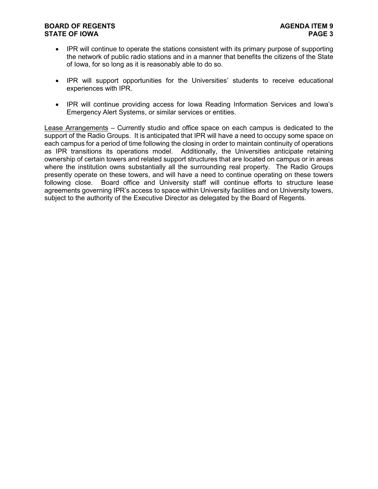#### BOARD OF REGENTS<br> **BOARD OF REGENTS**<br> **BOARD OF IOWA STATE OF IOWA**

- IPR will continue to operate the stations consistent with its primary purpose of supporting the network of public radio stations and in a manner that benefits the citizens of the State of Iowa, for so long as it is reasonably able to do so.
- IPR will support opportunities for the Universities' students to receive educational experiences with IPR.
- IPR will continue providing access for Iowa Reading Information Services and Iowa's Emergency Alert Systems, or similar services or entities.

Lease Arrangements – Currently studio and office space on each campus is dedicated to the support of the Radio Groups. It is anticipated that IPR will have a need to occupy some space on each campus for a period of time following the closing in order to maintain continuity of operations as IPR transitions its operations model. Additionally, the Universities anticipate retaining ownership of certain towers and related support structures that are located on campus or in areas where the institution owns substantially all the surrounding real property. The Radio Groups presently operate on these towers, and will have a need to continue operating on these towers following close. Board office and University staff will continue efforts to structure lease agreements governing IPR's access to space within University facilities and on University towers, subject to the authority of the Executive Director as delegated by the Board of Regents.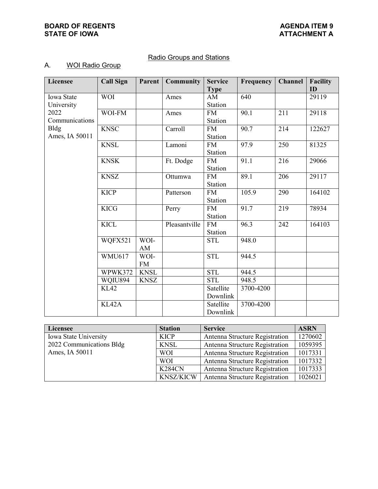### **BOARD OF REGENTS**<br> **BOARD OF REGENTS**<br> **BOARD OF IOWA**<br> **ATTACHMENT A STATE OF IOWA**

## Radio Groups and Stations

# A. WOI Radio Group

| Licensee                      | <b>Call Sign</b> | Parent            | <b>Community</b> | <b>Service</b><br><b>Type</b> | Frequency | <b>Channel</b> | <b>Facility</b><br>ID |
|-------------------------------|------------------|-------------------|------------------|-------------------------------|-----------|----------------|-----------------------|
| Iowa State<br>University      | <b>WOI</b>       |                   | Ames             | AM<br>Station                 | 640       |                | 29119                 |
| 2022<br>Communications        | WOI-FM           |                   | Ames             | <b>FM</b><br>Station          | 90.1      | 211            | 29118                 |
| <b>Bldg</b><br>Ames, IA 50011 | <b>KNSC</b>      |                   | Carroll          | <b>FM</b><br>Station          | 90.7      | 214            | 122627                |
|                               | <b>KNSL</b>      |                   | Lamoni           | <b>FM</b><br>Station          | 97.9      | 250            | 81325                 |
|                               | <b>KNSK</b>      |                   | Ft. Dodge        | <b>FM</b><br>Station          | 91.1      | 216            | 29066                 |
|                               | <b>KNSZ</b>      |                   | Ottumwa          | <b>FM</b><br>Station          | 89.1      | 206            | 29117                 |
|                               | <b>KICP</b>      |                   | Patterson        | <b>FM</b><br>Station          | 105.9     | 290            | 164102                |
|                               | <b>KICG</b>      |                   | Perry            | <b>FM</b><br>Station          | 91.7      | 219            | 78934                 |
|                               | <b>KICL</b>      |                   | Pleasantville    | <b>FM</b><br>Station          | 96.3      | 242            | 164103                |
|                               | WQFX521          | WOI-<br>AM        |                  | <b>STL</b>                    | 948.0     |                |                       |
|                               | <b>WMU617</b>    | WOI-<br><b>FM</b> |                  | <b>STL</b>                    | 944.5     |                |                       |
|                               | WPWK372          | <b>KNSL</b>       |                  | <b>STL</b>                    | 944.5     |                |                       |
|                               | WQIU894          | <b>KNSZ</b>       |                  | <b>STL</b>                    | 948.5     |                |                       |
|                               | <b>KL42</b>      |                   |                  | Satellite<br>Downlink         | 3700-4200 |                |                       |
|                               | KL42A            |                   |                  | Satellite<br>Downlink         | 3700-4200 |                |                       |

| Licensee                 | <b>Station</b>   | <b>Service</b>                 | <b>ASRN</b> |
|--------------------------|------------------|--------------------------------|-------------|
| Iowa State University    | <b>KICP</b>      | Antenna Structure Registration | 1270602     |
| 2022 Communications Bldg | <b>KNSL</b>      | Antenna Structure Registration | 1059395     |
| Ames, IA 50011           | <b>WOI</b>       | Antenna Structure Registration | 1017331     |
|                          | <b>WOI</b>       | Antenna Structure Registration | 1017332     |
|                          | <b>K284CN</b>    | Antenna Structure Registration | 1017333     |
|                          | <b>KNSZ/KICW</b> | Antenna Structure Registration | 1026021     |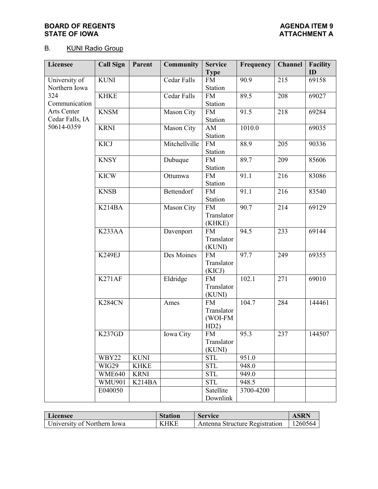### **BOARD OF REGENTS**<br> **BOARD OF REGENTS**<br> **BOARD OF IOWA**<br> **ATTACHMENT A STATE OF IOWA**

# B. KUNI Radio Group

| <b>Licensee</b>                | <b>Call Sign</b>                | Parent              | <b>Community</b> | <b>Service</b><br><b>Type</b>              | Frequency | Channel | <b>Facility</b><br>ID |
|--------------------------------|---------------------------------|---------------------|------------------|--------------------------------------------|-----------|---------|-----------------------|
| University of<br>Northern Iowa | <b>KUNI</b>                     |                     | Cedar Falls      | <b>FM</b><br>Station                       | 90.9      | 215     | 69158                 |
| 324<br>Communication           | <b>KHKE</b>                     |                     | Cedar Falls      | <b>FM</b><br>Station                       | 89.5      | 208     | 69027                 |
| Arts Center<br>Cedar Falls, IA | <b>KNSM</b>                     |                     | Mason City       | <b>FM</b><br>Station                       | 91.5      | 218     | 69284                 |
| 50614-0359                     | <b>KRNI</b>                     |                     | Mason City       | AM<br>Station                              | 1010.0    |         | 69035                 |
|                                | <b>KICJ</b>                     |                     | Mitchellville    | <b>FM</b><br>Station                       | 88.9      | 205     | 90336                 |
|                                | <b>KNSY</b>                     |                     | Dubuque          | <b>FM</b><br>Station                       | 89.7      | 209     | 85606                 |
|                                | <b>KICW</b>                     |                     | Ottumwa          | <b>FM</b><br>Station                       | 91.1      | 216     | 83086                 |
|                                | <b>KNSB</b>                     |                     | Bettendorf       | <b>FM</b><br>Station                       | 91.1      | 216     | 83540                 |
|                                | K <sub>214</sub> B <sub>A</sub> |                     | Mason City       | <b>FM</b><br>Translator<br>(KHKE)          | 90.7      | 214     | 69129                 |
|                                | K <sub>233</sub> AA             |                     | Davenport        | <b>FM</b><br>Translator<br>(KUNI)          | 94.5      | 233     | 69144                 |
|                                | K249EJ                          |                     | Des Moines       | <b>FM</b><br>Translator<br>(KICJ)          | 97.7      | 249     | 69355                 |
|                                | K271AF                          |                     | Eldridge         | <b>FM</b><br>Translator<br>(KUNI)          | 102.1     | 271     | 69010                 |
|                                | <b>K284CN</b>                   |                     | Ames             | <b>FM</b><br>Translator<br>(WOI-FM<br>HD2) | 104.7     | 284     | 144461                |
|                                | K237GD                          |                     | Iowa City        | <b>FM</b><br>Translator<br>(KUNI)          | 95.3      | 237     | 144507                |
|                                | WBY22                           | <b>KUNI</b>         |                  | <b>STL</b>                                 | 951.0     |         |                       |
|                                | WIG29                           | <b>KHKE</b>         |                  | <b>STL</b>                                 | 948.0     |         |                       |
|                                | WME640                          | <b>KRNI</b>         |                  | <b>STL</b>                                 | 949.0     |         |                       |
|                                | <b>WMU901</b>                   | K <sub>214</sub> BA |                  | <b>STL</b>                                 | 948.5     |         |                       |
|                                | E040050                         |                     |                  | Satellite<br>Downlink                      | 3700-4200 |         |                       |

| Licensee                    | Station     | <b>Service</b>                 | <b>ASRN</b> |
|-----------------------------|-------------|--------------------------------|-------------|
| University of Northern Iowa | <b>KHKF</b> | Antenna Structure Registration | 1260564     |